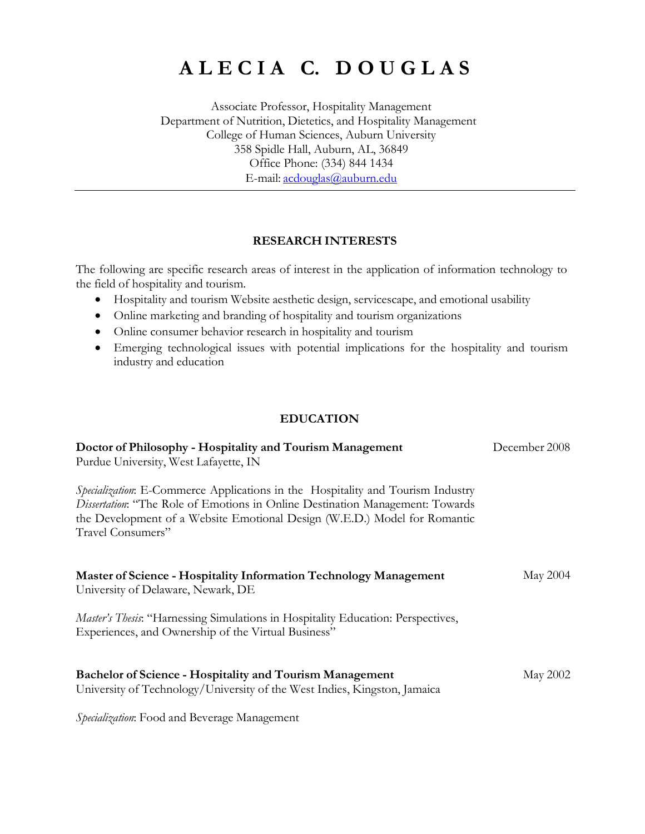# **A L E C I A C. D O U G L A S**

Associate Professor, Hospitality Management Department of Nutrition, Dietetics, and Hospitality Management College of Human Sciences, Auburn University 358 Spidle Hall, Auburn, AL, 36849 Office Phone: (334) 844 1434 E-mail: [acdouglas@auburn.edu](mailto:acdouglas@auburn.edu)

#### **RESEARCH INTERESTS**

The following are specific research areas of interest in the application of information technology to the field of hospitality and tourism.

- Hospitality and tourism Website aesthetic design, servicescape, and emotional usability
- Online marketing and branding of hospitality and tourism organizations
- Online consumer behavior research in hospitality and tourism
- Emerging technological issues with potential implications for the hospitality and tourism industry and education

#### **EDUCATION**

| Doctor of Philosophy - Hospitality and Tourism Management                                                                                                                                                                                                          | December 2008 |
|--------------------------------------------------------------------------------------------------------------------------------------------------------------------------------------------------------------------------------------------------------------------|---------------|
| Purdue University, West Lafayette, IN                                                                                                                                                                                                                              |               |
| Specialization: E-Commerce Applications in the Hospitality and Tourism Industry<br>Dissertation: "The Role of Emotions in Online Destination Management: Towards<br>the Development of a Website Emotional Design (W.E.D.) Model for Romantic<br>Travel Consumers" |               |
| Master of Science - Hospitality Information Technology Management<br>University of Delaware, Newark, DE                                                                                                                                                            | May 2004      |
| Master's Thesis: "Harnessing Simulations in Hospitality Education: Perspectives,<br>Experiences, and Ownership of the Virtual Business"                                                                                                                            |               |
| <b>Bachelor of Science - Hospitality and Tourism Management</b><br>University of Technology/University of the West Indies, Kingston, Jamaica                                                                                                                       | May 2002      |

*Specialization*: Food and Beverage Management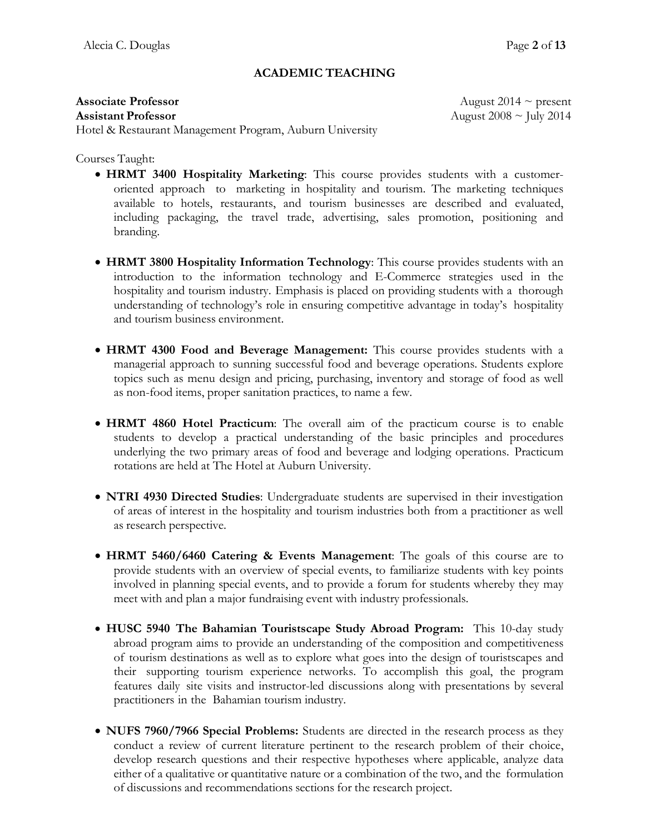### **ACADEMIC TEACHING**

Hotel & Restaurant Management Program, Auburn University

Courses Taught:

- **HRMT 3400 Hospitality Marketing**: This course provides students with a customeroriented approach to marketing in hospitality and tourism. The marketing techniques available to hotels, restaurants, and tourism businesses are described and evaluated, including packaging, the travel trade, advertising, sales promotion, positioning and branding.
- **HRMT 3800 Hospitality Information Technology**: This course provides students with an introduction to the information technology and E-Commerce strategies used in the hospitality and tourism industry. Emphasis is placed on providing students with a thorough understanding of technology's role in ensuring competitive advantage in today's hospitality and tourism business environment.
- **HRMT 4300 Food and Beverage Management:** This course provides students with a managerial approach to sunning successful food and beverage operations. Students explore topics such as menu design and pricing, purchasing, inventory and storage of food as well as non-food items, proper sanitation practices, to name a few.
- **HRMT 4860 Hotel Practicum**: The overall aim of the practicum course is to enable students to develop a practical understanding of the basic principles and procedures underlying the two primary areas of food and beverage and lodging operations. Practicum rotations are held at The Hotel at Auburn University.
- **NTRI 4930 Directed Studies**: Undergraduate students are supervised in their investigation of areas of interest in the hospitality and tourism industries both from a practitioner as well as research perspective.
- **HRMT 5460/6460 Catering & Events Management**: The goals of this course are to provide students with an overview of special events, to familiarize students with key points involved in planning special events, and to provide a forum for students whereby they may meet with and plan a major fundraising event with industry professionals.
- **HUSC 5940 The Bahamian Touristscape Study Abroad Program:** This 10-day study abroad program aims to provide an understanding of the composition and competitiveness of tourism destinations as well as to explore what goes into the design of touristscapes and their supporting tourism experience networks. To accomplish this goal, the program features daily site visits and instructor-led discussions along with presentations by several practitioners in the Bahamian tourism industry.
- **NUFS 7960/7966 Special Problems:** Students are directed in the research process as they conduct a review of current literature pertinent to the research problem of their choice, develop research questions and their respective hypotheses where applicable, analyze data either of a qualitative or quantitative nature or a combination of the two, and the formulation of discussions and recommendations sections for the research project.

**Associate Professor August 2014** ~ present **Assistant Professor** August 2008 ~ July 2014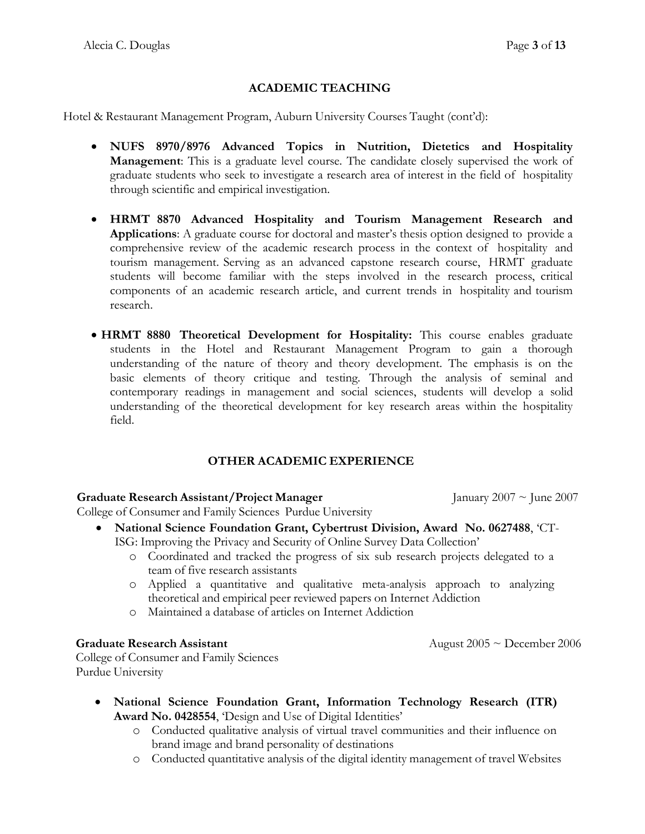# **ACADEMIC TEACHING**

Hotel & Restaurant Management Program, Auburn University Courses Taught (cont'd):

- **NUFS 8970/8976 Advanced Topics in Nutrition, Dietetics and Hospitality Management**: This is a graduate level course. The candidate closely supervised the work of graduate students who seek to investigate a research area of interest in the field of hospitality through scientific and empirical investigation.
- **HRMT 8870 Advanced Hospitality and Tourism Management Research and Applications**: A graduate course for doctoral and master's thesis option designed to provide a comprehensive review of the academic research process in the context of hospitality and tourism management. Serving as an advanced capstone research course, HRMT graduate students will become familiar with the steps involved in the research process, critical components of an academic research article, and current trends in hospitality and tourism research.
- **HRMT 8880 Theoretical Development for Hospitality:** This course enables graduate students in the Hotel and Restaurant Management Program to gain a thorough understanding of the nature of theory and theory development. The emphasis is on the basic elements of theory critique and testing. Through the analysis of seminal and contemporary readings in management and social sciences, students will develop a solid understanding of the theoretical development for key research areas within the hospitality field.

# **OTHER ACADEMIC EXPERIENCE**

#### **Graduate Research Assistant/Project Manager** January 2007 ~ June 2007

August  $2005 \sim$  December 2006

College of Consumer and Family Sciences Purdue University

- **National Science Foundation Grant, Cybertrust Division, Award No. 0627488**, 'CT-ISG: Improving the Privacy and Security of Online Survey Data Collection'
	- o Coordinated and tracked the progress of six sub research projects delegated to a team of five research assistants
	- o Applied a quantitative and qualitative meta-analysis approach to analyzing theoretical and empirical peer reviewed papers on Internet Addiction
	- o Maintained a database of articles on Internet Addiction

#### **Graduate Research Assistant**

College of Consumer and Family Sciences Purdue University

- **National Science Foundation Grant, Information Technology Research (ITR) Award No. 0428554**, 'Design and Use of Digital Identities'
	- o Conducted qualitative analysis of virtual travel communities and their influence on brand image and brand personality of destinations
	- o Conducted quantitative analysis of the digital identity management of travel Websites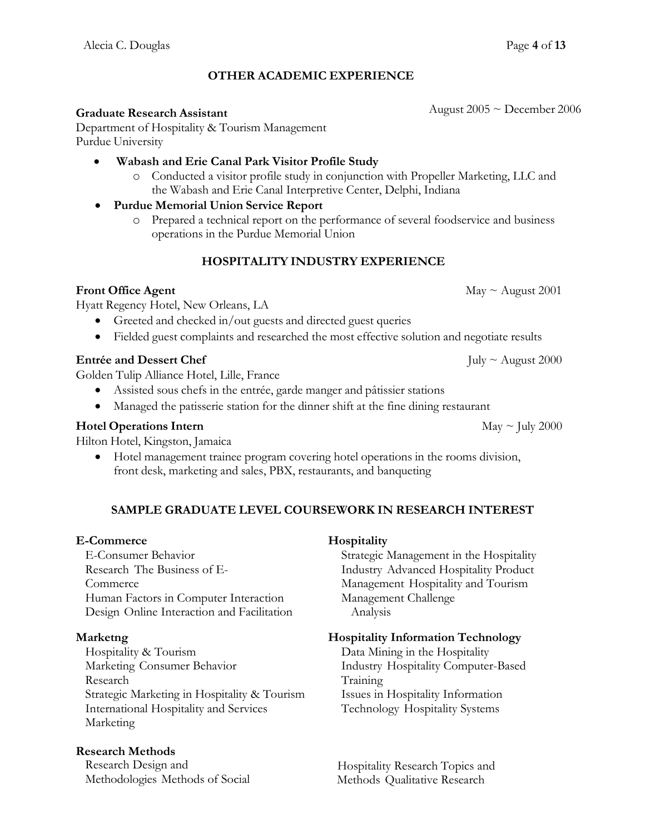# **OTHER ACADEMIC EXPERIENCE**

#### **Graduate Research Assistant**

Department of Hospitality & Tourism Management Purdue University

- **Wabash and Erie Canal Park Visitor Profile Study**
	- o Conducted a visitor profile study in conjunction with Propeller Marketing, LLC and the Wabash and Erie Canal Interpretive Center, Delphi, Indiana

#### **Purdue Memorial Union Service Report**

o Prepared a technical report on the performance of several foodservice and business operations in the Purdue Memorial Union

#### **HOSPITALITY INDUSTRY EXPERIENCE**

#### **Front Office Agent** May ~ August 2001

Hyatt Regency Hotel, New Orleans, LA

- Greeted and checked in/out guests and directed guest queries
- Fielded guest complaints and researched the most effective solution and negotiate results

#### **Entrée and Dessert Chef** July ~ August 2000

Golden Tulip Alliance Hotel, Lille, France

- Assisted sous chefs in the entrée, garde manger and pâtissier stations
- Managed the patisserie station for the dinner shift at the fine dining restaurant

#### **Hotel Operations Intern** May ~ July 2000

Hilton Hotel, Kingston, Jamaica

 Hotel management trainee program covering hotel operations in the rooms division, front desk, marketing and sales, PBX, restaurants, and banqueting

#### **SAMPLE GRADUATE LEVEL COURSEWORK IN RESEARCH INTEREST**

#### **E-Commerce**

E-Consumer Behavior Research The Business of E-Commerce Human Factors in Computer Interaction Design Online Interaction and Facilitation

#### **Marketng**

Hospitality & Tourism Marketing Consumer Behavior Research Strategic Marketing in Hospitality & Tourism International Hospitality and Services Marketing

#### **Research Methods**

Research Design and Methodologies Methods of Social

#### **Hospitality**

Strategic Management in the Hospitality Industry Advanced Hospitality Product Management Hospitality and Tourism Management Challenge Analysis

#### **Hospitality Information Technology**

Data Mining in the Hospitality Industry Hospitality Computer-Based Training Issues in Hospitality Information Technology Hospitality Systems

Hospitality Research Topics and Methods Qualitative Research

August 2005 ~ December 2006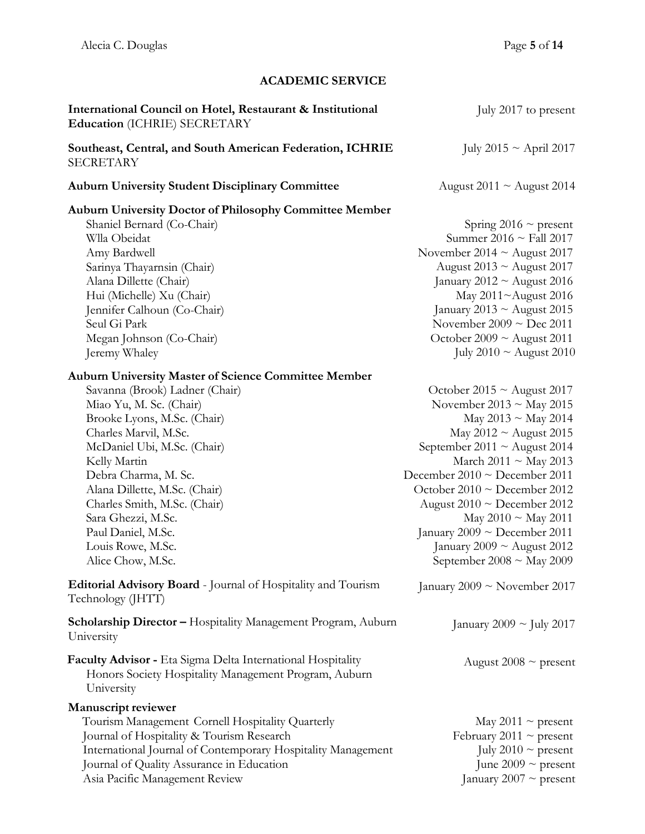# **ACADEMIC SERVICE**

| International Council on Hotel, Restaurant & Institutional<br>Education (ICHRIE) SECRETARY                                                                                                                                                                                                                                                                                                                                                                                                                                                                                   | July 2017 to present                                                                                                                                                                                                                                                                                                                                                                                                                                                                   |
|------------------------------------------------------------------------------------------------------------------------------------------------------------------------------------------------------------------------------------------------------------------------------------------------------------------------------------------------------------------------------------------------------------------------------------------------------------------------------------------------------------------------------------------------------------------------------|----------------------------------------------------------------------------------------------------------------------------------------------------------------------------------------------------------------------------------------------------------------------------------------------------------------------------------------------------------------------------------------------------------------------------------------------------------------------------------------|
| Southeast, Central, and South American Federation, ICHRIE<br><b>SECRETARY</b>                                                                                                                                                                                                                                                                                                                                                                                                                                                                                                | July 2015 $\sim$ April 2017                                                                                                                                                                                                                                                                                                                                                                                                                                                            |
| <b>Auburn University Student Disciplinary Committee</b>                                                                                                                                                                                                                                                                                                                                                                                                                                                                                                                      | August $2011 \sim$ August 2014                                                                                                                                                                                                                                                                                                                                                                                                                                                         |
| <b>Auburn University Doctor of Philosophy Committee Member</b><br>Shaniel Bernard (Co-Chair)<br>Wlla Obeidat<br>Amy Bardwell<br>Sarinya Thayarnsin (Chair)<br>Alana Dillette (Chair)<br>Hui (Michelle) Xu (Chair)<br>Jennifer Calhoun (Co-Chair)                                                                                                                                                                                                                                                                                                                             | Spring 2016 $\sim$ present<br>Summer 2016 $\sim$ Fall 2017<br>November 2014 $\sim$ August 2017<br>August 2013 $\sim$ August 2017<br>January 2012 $\sim$ August 2016<br>May 2011~August 2016<br>January 2013 ~ August 2015                                                                                                                                                                                                                                                              |
| Seul Gi Park<br>Megan Johnson (Co-Chair)<br>Jeremy Whaley                                                                                                                                                                                                                                                                                                                                                                                                                                                                                                                    | November $2009 \sim Dec 2011$<br>October 2009 $\sim$ August 2011<br>July 2010 $\sim$ August 2010                                                                                                                                                                                                                                                                                                                                                                                       |
| <b>Auburn University Master of Science Committee Member</b><br>Savanna (Brook) Ladner (Chair)<br>Miao Yu, M. Sc. (Chair)<br>Brooke Lyons, M.Sc. (Chair)<br>Charles Marvil, M.Sc.<br>McDaniel Ubi, M.Sc. (Chair)<br>Kelly Martin<br>Debra Charma, M. Sc.<br>Alana Dillette, M.Sc. (Chair)<br>Charles Smith, M.Sc. (Chair)<br>Sara Ghezzi, M.Sc.<br>Paul Daniel, M.Sc.<br>Louis Rowe, M.Sc.<br>Alice Chow, M.Sc.<br>Editorial Advisory Board - Journal of Hospitality and Tourism<br>Technology (JHTT)<br><b>Scholarship Director - Hospitality Management Program, Auburn</b> | October 2015 $\sim$ August 2017<br>November 2013 ~ May 2015<br>May 2013 ~ May 2014<br>May $2012 \sim$ August 2015<br>September 2011 $\sim$ August 2014<br>March 2011 ~ May 2013<br>December 2010 $\sim$ December 2011<br>October $2010 \sim$ December 2012<br>August $2010 \sim$ December 2012<br>May 2010 ~ May 2011<br>January 2009 ~ December 2011<br>January 2009 $\sim$ August 2012<br>September 2008 ~ May 2009<br>January 2009 ~ November 2017<br>January 2009 $\sim$ July 2017 |
| University                                                                                                                                                                                                                                                                                                                                                                                                                                                                                                                                                                   |                                                                                                                                                                                                                                                                                                                                                                                                                                                                                        |
| Faculty Advisor - Eta Sigma Delta International Hospitality<br>Honors Society Hospitality Management Program, Auburn<br>University                                                                                                                                                                                                                                                                                                                                                                                                                                           | August 2008 $\sim$ present                                                                                                                                                                                                                                                                                                                                                                                                                                                             |
| <b>Manuscript reviewer</b><br>Tourism Management Cornell Hospitality Quarterly<br>Journal of Hospitality & Tourism Research<br>International Journal of Contemporary Hospitality Management<br>Journal of Quality Assurance in Education<br>Asia Pacific Management Review                                                                                                                                                                                                                                                                                                   | May 2011 $\sim$ present<br>February 2011 $\sim$ present<br>July 2010 $\sim$ present<br>June 2009 $\sim$ present<br>January 2007 ~ present                                                                                                                                                                                                                                                                                                                                              |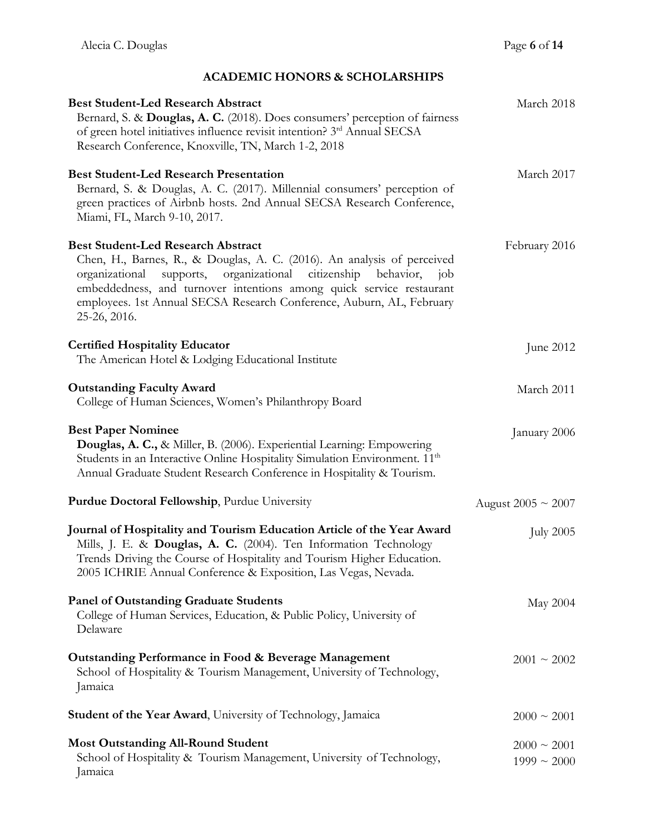# **ACADEMIC HONORS & SCHOLARSHIPS**

| <b>Best Student-Led Research Abstract</b><br>Bernard, S. & Douglas, A. C. (2018). Does consumers' perception of fairness<br>of green hotel initiatives influence revisit intention? 3rd Annual SECSA<br>Research Conference, Knoxville, TN, March 1-2, 2018                                                                                                      | March 2018                           |
|------------------------------------------------------------------------------------------------------------------------------------------------------------------------------------------------------------------------------------------------------------------------------------------------------------------------------------------------------------------|--------------------------------------|
| <b>Best Student-Led Research Presentation</b><br>Bernard, S. & Douglas, A. C. (2017). Millennial consumers' perception of<br>green practices of Airbnb hosts. 2nd Annual SECSA Research Conference,<br>Miami, FL, March 9-10, 2017.                                                                                                                              | March 2017                           |
| <b>Best Student-Led Research Abstract</b><br>Chen, H., Barnes, R., & Douglas, A. C. (2016). An analysis of perceived<br>organizational citizenship behavior, job<br>organizational<br>supports,<br>embeddedness, and turnover intentions among quick service restaurant<br>employees. 1st Annual SECSA Research Conference, Auburn, AL, February<br>25-26, 2016. | February 2016                        |
| <b>Certified Hospitality Educator</b><br>The American Hotel & Lodging Educational Institute                                                                                                                                                                                                                                                                      | June 2012                            |
| <b>Outstanding Faculty Award</b><br>College of Human Sciences, Women's Philanthropy Board                                                                                                                                                                                                                                                                        | March 2011                           |
| <b>Best Paper Nominee</b><br>Douglas, A. C., & Miller, B. (2006). Experiential Learning: Empowering<br>Students in an Interactive Online Hospitality Simulation Environment. 11 <sup>th</sup><br>Annual Graduate Student Research Conference in Hospitality & Tourism.                                                                                           | January 2006                         |
| Purdue Doctoral Fellowship, Purdue University                                                                                                                                                                                                                                                                                                                    | August 2005 $\sim$ 2007              |
| Journal of Hospitality and Tourism Education Article of the Year Award<br>Mills, J. E. & Douglas, A. C. (2004). Ten Information Technology<br>Trends Driving the Course of Hospitality and Tourism Higher Education.<br>2005 ICHRIE Annual Conference & Exposition, Las Vegas, Nevada.                                                                           | <b>July 2005</b>                     |
| <b>Panel of Outstanding Graduate Students</b><br>College of Human Services, Education, & Public Policy, University of<br>Delaware                                                                                                                                                                                                                                | May 2004                             |
| Outstanding Performance in Food & Beverage Management<br>School of Hospitality & Tourism Management, University of Technology,<br>Jamaica                                                                                                                                                                                                                        | $2001 \sim 2002$                     |
| <b>Student of the Year Award</b> , University of Technology, Jamaica                                                                                                                                                                                                                                                                                             | $2000 \sim 2001$                     |
| <b>Most Outstanding All-Round Student</b><br>School of Hospitality & Tourism Management, University of Technology,<br>Jamaica                                                                                                                                                                                                                                    | $2000 \sim 2001$<br>$1999 \sim 2000$ |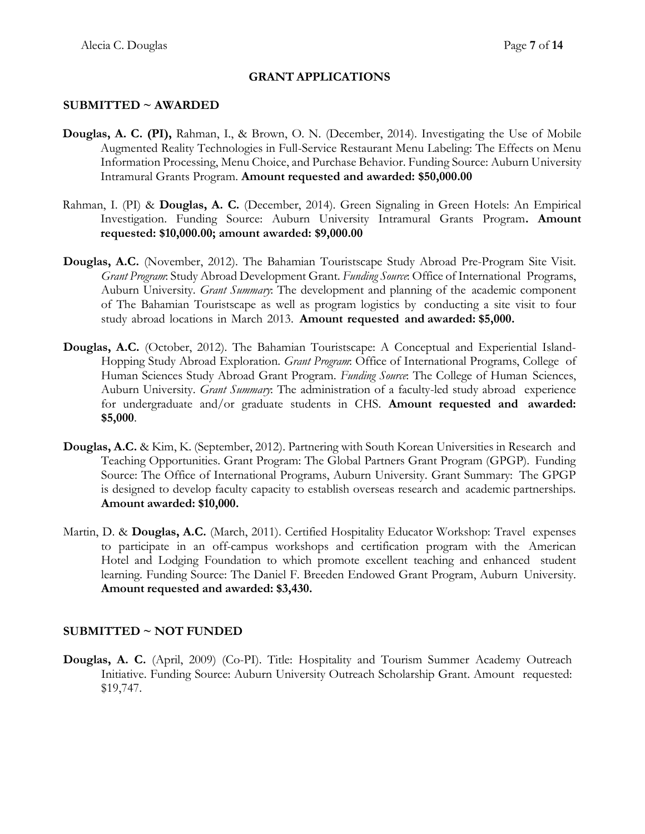#### **GRANT APPLICATIONS**

#### **SUBMITTED ~ AWARDED**

- **Douglas, A. C. (PI),** Rahman, I., & Brown, O. N. (December, 2014). Investigating the Use of Mobile Augmented Reality Technologies in Full-Service Restaurant Menu Labeling: The Effects on Menu Information Processing, Menu Choice, and Purchase Behavior. Funding Source: Auburn University Intramural Grants Program. **Amount requested and awarded: \$50,000.00**
- Rahman, I. (PI) & **Douglas, A. C.** (December, 2014). Green Signaling in Green Hotels: An Empirical Investigation. Funding Source: Auburn University Intramural Grants Program**. Amount requested: \$10,000.00; amount awarded: \$9,000.00**
- **Douglas, A.C.** (November, 2012). The Bahamian Touristscape Study Abroad Pre-Program Site Visit. *Grant Program*: Study Abroad Development Grant. *Funding Source*: Office of International Programs, Auburn University. *Grant Summary*: The development and planning of the academic component of The Bahamian Touristscape as well as program logistics by conducting a site visit to four study abroad locations in March 2013. **Amount requested and awarded: \$5,000.**
- **Douglas, A.C.** (October, 2012). The Bahamian Touristscape: A Conceptual and Experiential Island-Hopping Study Abroad Exploration. *Grant Program*: Office of International Programs, College of Human Sciences Study Abroad Grant Program. *Funding Source*: The College of Human Sciences, Auburn University. *Grant Summary*: The administration of a faculty-led study abroad experience for undergraduate and/or graduate students in CHS. **Amount requested and awarded: \$5,000**.
- **Douglas, A.C.** & Kim, K. (September, 2012). Partnering with South Korean Universities in Research and Teaching Opportunities. Grant Program: The Global Partners Grant Program (GPGP). Funding Source: The Office of International Programs, Auburn University. Grant Summary: The GPGP is designed to develop faculty capacity to establish overseas research and academic partnerships. **Amount awarded: \$10,000.**
- Martin, D. & **Douglas, A.C.** (March, 2011). Certified Hospitality Educator Workshop: Travel expenses to participate in an off-campus workshops and certification program with the American Hotel and Lodging Foundation to which promote excellent teaching and enhanced student learning. Funding Source: The Daniel F. Breeden Endowed Grant Program, Auburn University. **Amount requested and awarded: \$3,430.**

#### **SUBMITTED ~ NOT FUNDED**

**Douglas, A. C.** (April, 2009) (Co-PI). Title: Hospitality and Tourism Summer Academy Outreach Initiative. Funding Source: Auburn University Outreach Scholarship Grant. Amount requested: \$19,747.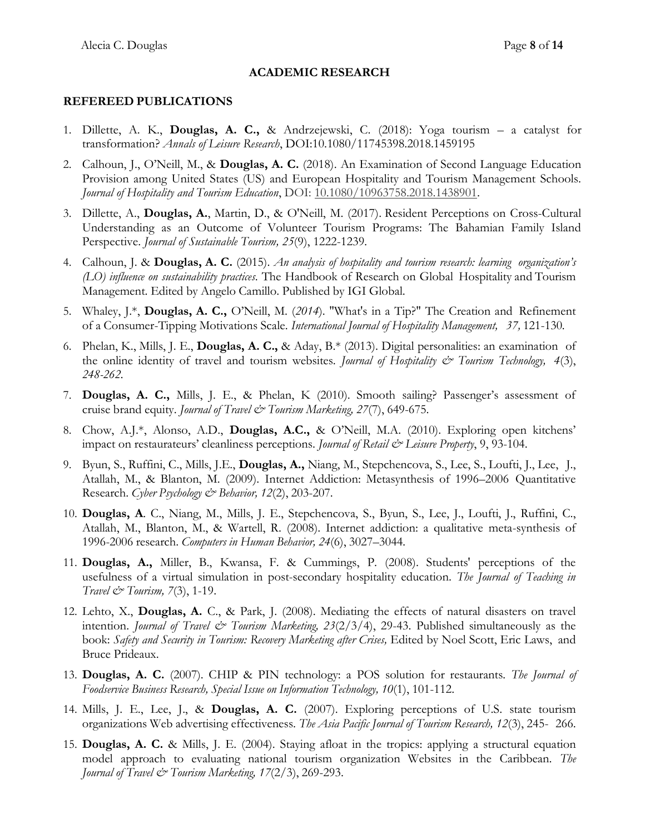#### **REFEREED PUBLICATIONS**

- 1. Dillette, A. K., **Douglas, A. C.,** & Andrzejewski, C. (2018): Yoga tourism a catalyst for transformation? *Annals of Leisure Research*, DOI:10.1080/11745398.2018.1459195
- 2. Calhoun, J., O'Neill, M., & **Douglas, A. C.** (2018). An Examination of Second Language Education Provision among United States (US) and European Hospitality and Tourism Management Schools. *Journal of Hospitality and Tourism Education*, DOI: [10.1080/10963758.2018.1438901.](https://doi.org/10.1080/10963758.2018.1438901)
- 3. Dillette, A., **Douglas, A.**, Martin, D., & O'Neill, M. (2017). Resident Perceptions on Cross-Cultural Understanding as an Outcome of Volunteer Tourism Programs: The Bahamian Family Island Perspective. *Journal of Sustainable Tourism, 25*(9), 1222-1239*.*
- 4. Calhoun, J. & **Douglas, A. C.** (2015). *An analysis of hospitality and tourism research: learning organization's (LO) influence on sustainability practices*. The Handbook of Research on Global Hospitality and Tourism Management. Edited by Angelo Camillo. Published by IGI Global.
- 5. Whaley, J.\*, **Douglas, A. C.,** O'Neill, M. (*2014*). "What's in a Tip?" The Creation and Refinement of a Consumer-Tipping Motivations Scale. *International Journal of Hospitality Management, 37,* 121-130*.*
- 6. Phelan, K., Mills, J. E., **Douglas, A. C.,** & Aday, B.\* (2013). Digital personalities: an examination of the online identity of travel and tourism websites. *Journal of Hospitality & Tourism Technology, 4*(3), *248-262.*
- 7. **Douglas, A. C.,** Mills, J. E., & Phelan, K (2010). Smooth sailing? Passenger's assessment of cruise brand equity. *Journal of Travel & Tourism Marketing, 27*(7), 649-675.
- 8. Chow, A.J.\*, Alonso, A.D., **Douglas, A.C.,** & O'Neill, M.A. (2010). Exploring open kitchens' impact on restaurateurs' cleanliness perceptions. *Journal of Retail & Leisure Property*, 9, 93-104.
- 9. Byun, S., Ruffini, C., Mills, J.E., **Douglas, A.,** Niang, M., Stepchencova, S., Lee, S., Loufti, J., Lee, J., Atallah, M., & Blanton, M. (2009). Internet Addiction: Metasynthesis of 1996–2006 Quantitative Research. *Cyber Psychology & Behavior, 12*(2), 203-207.
- 10. **Douglas, A**. C., Niang, M., Mills, J. E., Stepchencova, S., Byun, S., Lee, J., Loufti, J., Ruffini, C., Atallah, M., Blanton, M., & Wartell, R. (2008). Internet addiction: a qualitative meta-synthesis of 1996-2006 research. *Computers in Human Behavior, 24*(6), 3027–3044*.*
- 11. **Douglas, A.,** Miller, B., Kwansa, F. & Cummings, P. (2008). Students' perceptions of the usefulness of a virtual simulation in post-secondary hospitality education. *The Journal of Teaching in Travel & Tourism, 7*(3), 1-19.
- 12. Lehto, X., **Douglas, A.** C., & Park, J. (2008). Mediating the effects of natural disasters on travel intention. *Journal of Travel & Tourism Marketing, 23*(2/3/4), 29-43. Published simultaneously as the book: *Safety and Security in Tourism: Recovery Marketing after Crises,* Edited by Noel Scott, Eric Laws, and Bruce Prideaux.
- 13. **Douglas, A. C.** (2007). CHIP & PIN technology: a POS solution for restaurants*. The Journal of Foodservice Business Research, Special Issue on Information Technology, 10*(1), 101-112.
- 14. Mills, J. E., Lee, J., & **Douglas, A. C.** (2007). Exploring perceptions of U.S. state tourism organizations Web advertising effectiveness. *The Asia Pacific Journal of Tourism Research, 12*(3), 245- 266.
- 15. **Douglas, A. C.** & Mills, J. E. (2004). Staying afloat in the tropics: applying a structural equation model approach to evaluating national tourism organization Websites in the Caribbean. *The Journal of Travel & Tourism Marketing, 17*(2/3), 269-293.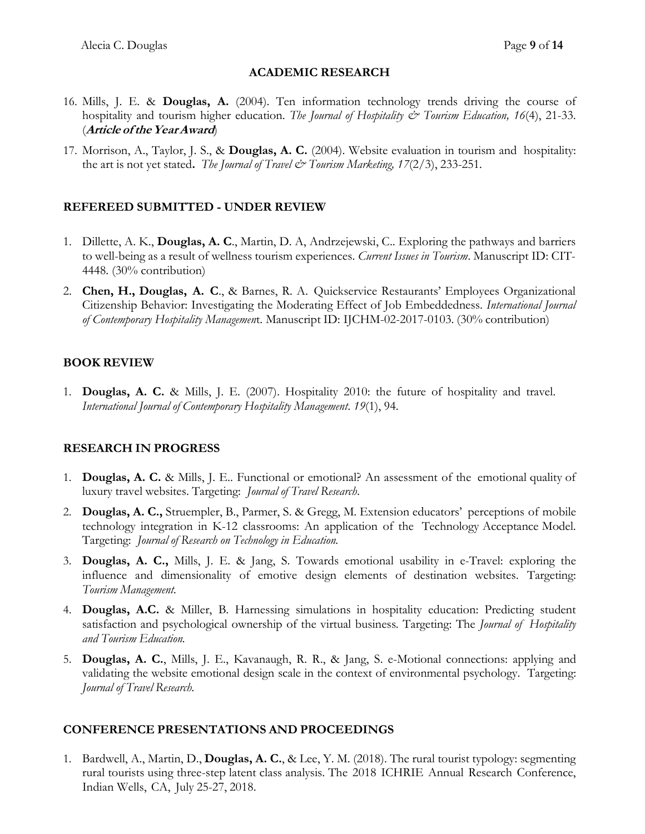- 16. Mills, J. E. & **Douglas, A.** (2004). Ten information technology trends driving the course of hospitality and tourism higher education. *The Journal of Hospitality & Tourism Education, 16*(4), 21-33. (**Article oftheYearAward**)
- 17. Morrison, A., Taylor, J. S., & **Douglas, A. C.** (2004). Website evaluation in tourism and hospitality: the art is not yet stated**.** *The Journal of Travel & Tourism Marketing, 17*(2/3), 233-251*.*

# **REFEREED SUBMITTED - UNDER REVIEW**

- 1. Dillette, A. K., **Douglas, A. C**., Martin, D. A, Andrzejewski, C.. Exploring the pathways and barriers to well-being as a result of wellness tourism experiences. *Current Issues in Tourism*. Manuscript ID: CIT-4448. (30% contribution)
- 2. **Chen, H., Douglas, A. C**., & Barnes, R. A. Quickservice Restaurants' Employees Organizational Citizenship Behavior: Investigating the Moderating Effect of Job Embeddedness. *International Journal of Contemporary Hospitality Managemen*t. Manuscript ID: IJCHM-02-2017-0103. (30% contribution)

# **BOOK REVIEW**

1. **Douglas, A. C.** & Mills, J. E. (2007). Hospitality 2010: the future of hospitality and travel. *International Journal of Contemporary Hospitality Management*. *19*(1), 94.

# **RESEARCH IN PROGRESS**

- 1. **Douglas, A. C.** & Mills, J. E.. Functional or emotional? An assessment of the emotional quality of luxury travel websites. Targeting: *Journal of Travel Research*.
- 2. **Douglas, A. C.,** Struempler, B., Parmer, S. & Gregg, M. Extension educators' perceptions of mobile technology integration in K-12 classrooms: An application of the Technology Acceptance Model. Targeting: *Journal of Research on Technology in Education.*
- 3. **Douglas, A. C.,** Mills, J. E. & Jang, S. Towards emotional usability in e-Travel: exploring the influence and dimensionality of emotive design elements of destination websites. Targeting: *Tourism Management.*
- 4. **Douglas, A.C.** & Miller, B. Harnessing simulations in hospitality education: Predicting student satisfaction and psychological ownership of the virtual business. Targeting: The *Journal of Hospitality and Tourism Education.*
- 5. **Douglas, A. C.**, Mills, J. E., Kavanaugh, R. R., & Jang, S. e-Motional connections: applying and validating the website emotional design scale in the context of environmental psychology. Targeting: *Journal of Travel Research.*

# **CONFERENCE PRESENTATIONS AND PROCEEDINGS**

1. Bardwell, A., Martin, D., **Douglas, A. C.**, & Lee, Y. M. (2018). The rural tourist typology: segmenting rural tourists using three-step latent class analysis. The 2018 ICHRIE Annual Research Conference, Indian Wells, CA, July 25-27, 2018.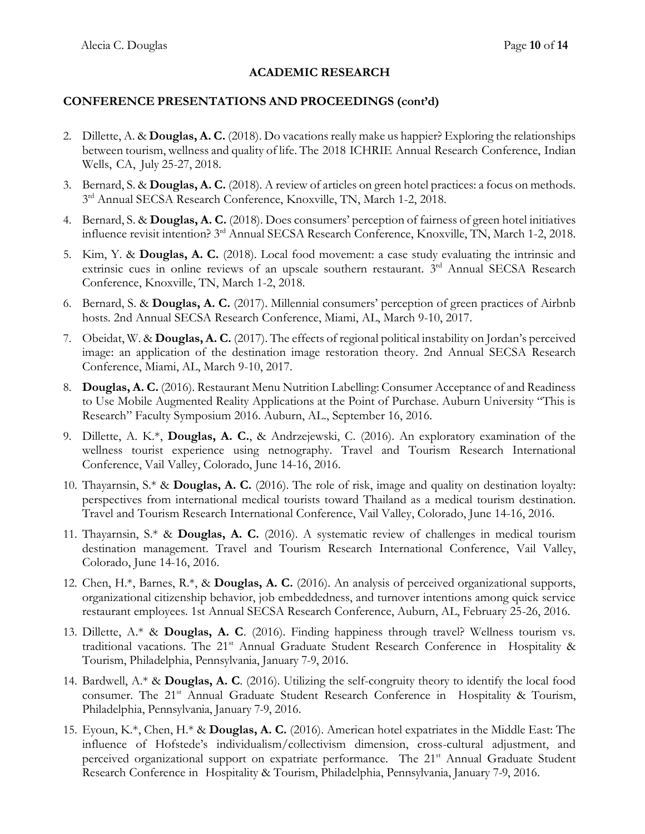#### **CONFERENCE PRESENTATIONS AND PROCEEDINGS (cont'd)**

- 2. Dillette, A. & **Douglas, A. C.** (2018). Do vacations really make us happier? Exploring the relationships between tourism, wellness and quality of life. The 2018 ICHRIE Annual Research Conference, Indian Wells, CA, July 25-27, 2018.
- 3. Bernard, S. & **Douglas, A. C.** (2018). A review of articles on green hotel practices: a focus on methods. 3<sup>rd</sup> Annual SECSA Research Conference, Knoxville, TN, March 1-2, 2018.
- 4. Bernard, S. & **Douglas, A. C.** (2018). Does consumers' perception of fairness of green hotel initiatives influence revisit intention? 3rd Annual SECSA Research Conference, Knoxville, TN, March 1-2, 2018.
- 5. Kim, Y. & **Douglas, A. C.** (2018). Local food movement: a case study evaluating the intrinsic and extrinsic cues in online reviews of an upscale southern restaurant. 3<sup>rd</sup> Annual SECSA Research Conference, Knoxville, TN, March 1-2, 2018.
- 6. Bernard, S. & **Douglas, A. C.** (2017). Millennial consumers' perception of green practices of Airbnb hosts. 2nd Annual SECSA Research Conference, Miami, AL, March 9-10, 2017.
- 7. Obeidat, W. & **Douglas, A. C.** (2017). The effects of regional political instability on Jordan's perceived image: an application of the destination image restoration theory. 2nd Annual SECSA Research Conference, Miami, AL, March 9-10, 2017.
- 8. **Douglas, A. C.** (2016). Restaurant Menu Nutrition Labelling: Consumer Acceptance of and Readiness to Use Mobile Augmented Reality Applications at the Point of Purchase. Auburn University "This is Research" Faculty Symposium 2016. Auburn, AL., September 16, 2016.
- 9. Dillette, A. K.\*, **Douglas, A. C.**, & Andrzejewski, C. (2016). An exploratory examination of the wellness tourist experience using netnography. Travel and Tourism Research International Conference, Vail Valley, Colorado, June 14-16, 2016.
- 10. Thayarnsin, S.\* & **Douglas, A. C.** (2016). The role of risk, image and quality on destination loyalty: perspectives from international medical tourists toward Thailand as a medical tourism destination. Travel and Tourism Research International Conference, Vail Valley, Colorado, June 14-16, 2016.
- 11. Thayarnsin, S.\* & **Douglas, A. C.** (2016). A systematic review of challenges in medical tourism destination management. Travel and Tourism Research International Conference, Vail Valley, Colorado, June 14-16, 2016.
- 12. Chen, H.\*, Barnes, R.\*, & **Douglas, A. C.** (2016). An analysis of perceived organizational supports, organizational citizenship behavior, job embeddedness, and turnover intentions among quick service restaurant employees. 1st Annual SECSA Research Conference, Auburn, AL, February 25-26, 2016.
- 13. Dillette, A.\* & **Douglas, A. C**. (2016). Finding happiness through travel? Wellness tourism vs. traditional vacations. The 21<sup>st</sup> Annual Graduate Student Research Conference in Hospitality & Tourism, Philadelphia, Pennsylvania, January 7-9, 2016.
- 14. Bardwell, A.\* & **Douglas, A. C**. (2016). Utilizing the self-congruity theory to identify the local food consumer. The 21<sup>st</sup> Annual Graduate Student Research Conference in Hospitality & Tourism, Philadelphia, Pennsylvania, January 7-9, 2016.
- 15. Eyoun, K.\*, Chen, H.\* & **Douglas, A. C.** (2016). American hotel expatriates in the Middle East: The influence of Hofstede's individualism/collectivism dimension, cross-cultural adjustment, and perceived organizational support on expatriate performance. The 21<sup>st</sup> Annual Graduate Student Research Conference in Hospitality & Tourism, Philadelphia, Pennsylvania, January 7-9, 2016.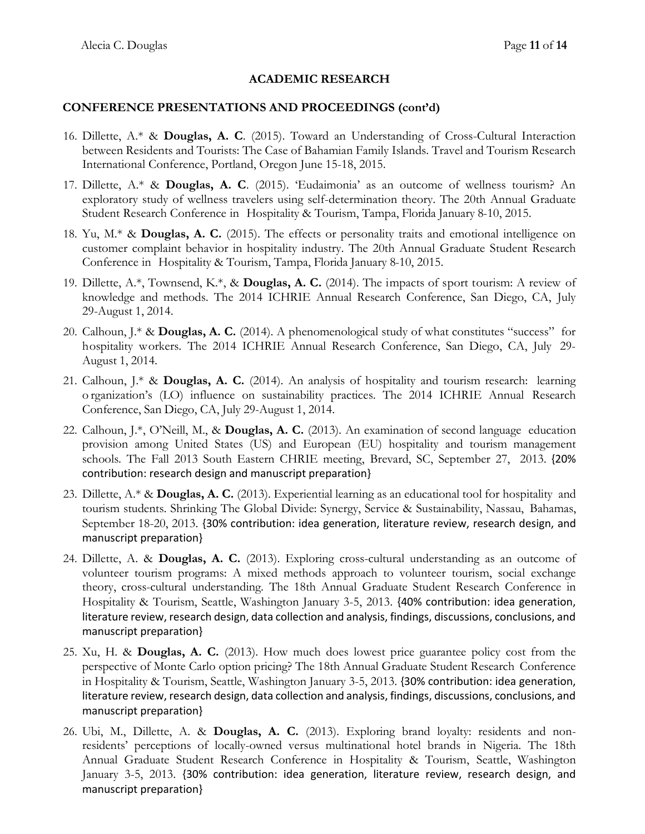#### **CONFERENCE PRESENTATIONS AND PROCEEDINGS (cont'd)**

- 16. Dillette, A.\* & **Douglas, A. C**. (2015). Toward an Understanding of Cross-Cultural Interaction between Residents and Tourists: The Case of Bahamian Family Islands. Travel and Tourism Research International Conference, Portland, Oregon June 15-18, 2015.
- 17. Dillette, A.\* & **Douglas, A. C**. (2015). 'Eudaimonia' as an outcome of wellness tourism? An exploratory study of wellness travelers using self-determination theory. The 20th Annual Graduate Student Research Conference in Hospitality & Tourism, Tampa, Florida January 8-10, 2015.
- 18. Yu, M.\* & **Douglas, A. C.** (2015). The effects or personality traits and emotional intelligence on customer complaint behavior in hospitality industry. The 20th Annual Graduate Student Research Conference in Hospitality & Tourism, Tampa, Florida January 8-10, 2015.
- 19. Dillette, A.\*, Townsend, K.\*, & **Douglas, A. C.** (2014). The impacts of sport tourism: A review of knowledge and methods. The 2014 ICHRIE Annual Research Conference, San Diego, CA, July 29-August 1, 2014.
- 20. Calhoun, J.\* & **Douglas, A. C.** (2014). A phenomenological study of what constitutes "success" for hospitality workers. The 2014 ICHRIE Annual Research Conference, San Diego, CA, July 29- August 1, 2014.
- 21. Calhoun, J.\* & **Douglas, A. C.** (2014). An analysis of hospitality and tourism research: learning o rganization's (LO) influence on sustainability practices. The 2014 ICHRIE Annual Research Conference, San Diego, CA, July 29-August 1, 2014.
- 22. Calhoun, J.\*, O'Neill, M., & **Douglas, A. C.** (2013). An examination of second language education provision among United States (US) and European (EU) hospitality and tourism management schools. The Fall 2013 South Eastern CHRIE meeting, Brevard, SC, September 27, 2013. {20% contribution: research design and manuscript preparation}
- 23. Dillette, A.\* & **Douglas, A. C.** (2013). Experiential learning as an educational tool for hospitality and tourism students. Shrinking The Global Divide: Synergy, Service & Sustainability, Nassau, Bahamas, September 18-20, 2013. {30% contribution: idea generation, literature review, research design, and manuscript preparation}
- 24. Dillette, A. & **Douglas, A. C.** (2013). Exploring cross-cultural understanding as an outcome of volunteer tourism programs: A mixed methods approach to volunteer tourism, social exchange theory, cross-cultural understanding. The 18th Annual Graduate Student Research Conference in Hospitality & Tourism, Seattle, Washington January 3-5, 2013. {40% contribution: idea generation, literature review, research design, data collection and analysis, findings, discussions, conclusions, and manuscript preparation}
- 25. Xu, H. & **Douglas, A. C.** (2013). How much does lowest price guarantee policy cost from the perspective of Monte Carlo option pricing? The 18th Annual Graduate Student Research Conference in Hospitality & Tourism, Seattle, Washington January 3-5, 2013. {30% contribution: idea generation, literature review, research design, data collection and analysis, findings, discussions, conclusions, and manuscript preparation}
- 26. Ubi, M., Dillette, A. & **Douglas, A. C.** (2013). Exploring brand loyalty: residents and nonresidents' perceptions of locally-owned versus multinational hotel brands in Nigeria. The 18th Annual Graduate Student Research Conference in Hospitality & Tourism, Seattle, Washington January 3-5, 2013. {30% contribution: idea generation, literature review, research design, and manuscript preparation}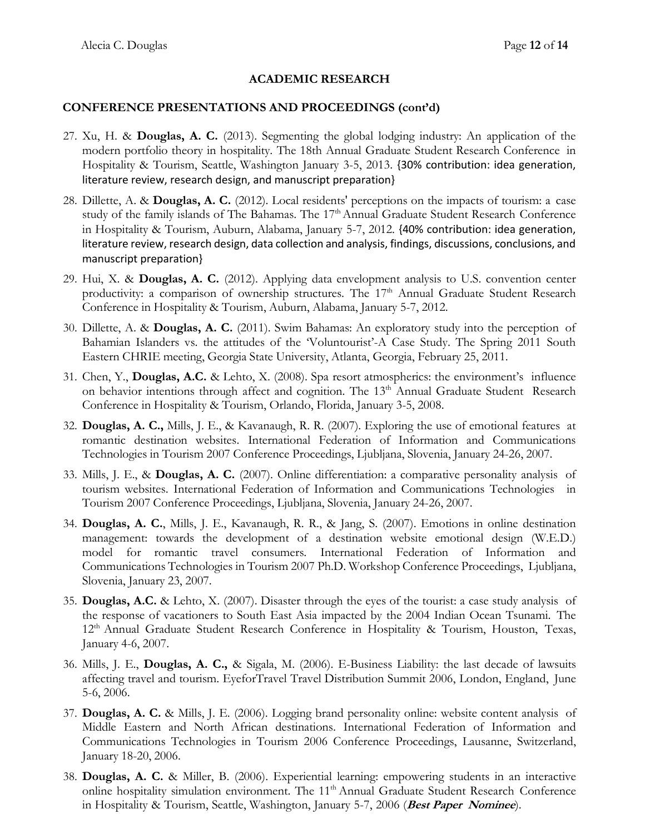### **CONFERENCE PRESENTATIONS AND PROCEEDINGS (cont'd)**

- 27. Xu, H. & **Douglas, A. C.** (2013). Segmenting the global lodging industry: An application of the modern portfolio theory in hospitality. The 18th Annual Graduate Student Research Conference in Hospitality & Tourism, Seattle, Washington January 3-5, 2013. {30% contribution: idea generation, literature review, research design, and manuscript preparation}
- 28. Dillette, A. & **Douglas, A. C.** (2012). Local residents' perceptions on the impacts of tourism: a case study of the family islands of The Bahamas. The 17<sup>th</sup> Annual Graduate Student Research Conference in Hospitality & Tourism, Auburn, Alabama, January 5-7, 2012. {40% contribution: idea generation, literature review, research design, data collection and analysis, findings, discussions, conclusions, and manuscript preparation}
- 29. Hui, X. & **Douglas, A. C.** (2012). Applying data envelopment analysis to U.S. convention center productivity: a comparison of ownership structures. The  $17<sup>th</sup>$  Annual Graduate Student Research Conference in Hospitality & Tourism, Auburn, Alabama, January 5-7, 2012.
- 30. Dillette, A. & **Douglas, A. C.** (2011). Swim Bahamas: An exploratory study into the perception of Bahamian Islanders vs. the attitudes of the 'Voluntourist'-A Case Study. The Spring 2011 South Eastern CHRIE meeting, Georgia State University, Atlanta, Georgia, February 25, 2011.
- 31. Chen, Y., **Douglas, A.C.** & Lehto, X. (2008). Spa resort atmospherics: the environment's influence on behavior intentions through affect and cognition. The 13<sup>th</sup> Annual Graduate Student Research Conference in Hospitality & Tourism, Orlando, Florida, January 3-5, 2008.
- 32. **Douglas, A. C.,** Mills, J. E., & Kavanaugh, R. R. (2007). Exploring the use of emotional features at romantic destination websites. International Federation of Information and Communications Technologies in Tourism 2007 Conference Proceedings, Ljubljana, Slovenia, January 24-26, 2007.
- 33. Mills, J. E., & **Douglas, A. C.** (2007). Online differentiation: a comparative personality analysis of tourism websites. International Federation of Information and Communications Technologies in Tourism 2007 Conference Proceedings, Ljubljana, Slovenia, January 24-26, 2007.
- 34. **Douglas, A. C.**, Mills, J. E., Kavanaugh, R. R., & Jang, S. (2007). Emotions in online destination management: towards the development of a destination website emotional design (W.E.D.) model for romantic travel consumers. International Federation of Information and Communications Technologies in Tourism 2007 Ph.D. Workshop Conference Proceedings, Ljubljana, Slovenia, January 23, 2007.
- 35. **Douglas, A.C.** & Lehto, X. (2007). Disaster through the eyes of the tourist: a case study analysis of the response of vacationers to South East Asia impacted by the 2004 Indian Ocean Tsunami. The 12<sup>th</sup> Annual Graduate Student Research Conference in Hospitality & Tourism, Houston, Texas, January 4-6, 2007.
- 36. Mills, J. E., **Douglas, A. C.,** & Sigala, M. (2006). E-Business Liability: the last decade of lawsuits affecting travel and tourism. EyeforTravel Travel Distribution Summit 2006, London, England, June 5-6, 2006.
- 37. **Douglas, A. C.** & Mills, J. E. (2006). Logging brand personality online: website content analysis of Middle Eastern and North African destinations. International Federation of Information and Communications Technologies in Tourism 2006 Conference Proceedings, Lausanne, Switzerland, January 18-20, 2006.
- 38. **Douglas, A. C.** & Miller, B. (2006). Experiential learning: empowering students in an interactive online hospitality simulation environment. The 11<sup>th</sup> Annual Graduate Student Research Conference in Hospitality & Tourism, Seattle, Washington, January 5-7, 2006 (**Best Paper Nominee**).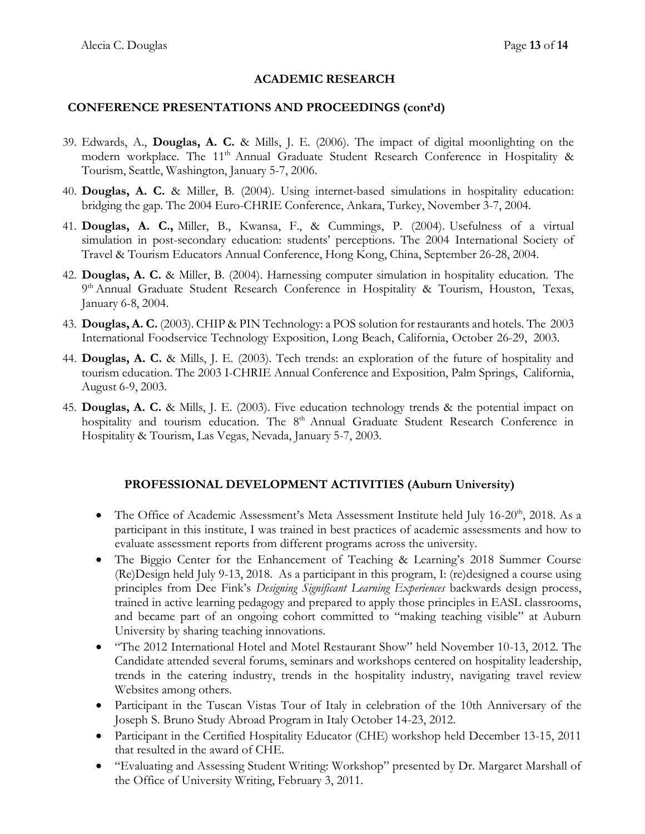#### **CONFERENCE PRESENTATIONS AND PROCEEDINGS (cont'd)**

- 39. Edwards, A., **Douglas, A. C.** & Mills, J. E. (2006). The impact of digital moonlighting on the modern workplace. The 11<sup>th</sup> Annual Graduate Student Research Conference in Hospitality & Tourism, Seattle, Washington, January 5-7, 2006.
- 40. **Douglas, A. C.** & Miller, B. (2004). Using internet-based simulations in hospitality education: bridging the gap. The 2004 Euro-CHRIE Conference, Ankara, Turkey, November 3-7, 2004.
- 41. **Douglas, A. C.,** Miller, B., Kwansa, F., & Cummings, P. (2004). Usefulness of a virtual simulation in post-secondary education: students' perceptions. The 2004 International Society of Travel & Tourism Educators Annual Conference, Hong Kong, China, September 26-28, 2004.
- 42. **Douglas, A. C.** & Miller, B. (2004). Harnessing computer simulation in hospitality education. The 9<sup>th</sup> Annual Graduate Student Research Conference in Hospitality & Tourism, Houston, Texas, January 6-8, 2004.
- 43. **Douglas, A. C.** (2003). CHIP & PIN Technology: a POS solution for restaurants and hotels. The 2003 International Foodservice Technology Exposition, Long Beach, California, October 26-29, 2003.
- 44. **Douglas, A. C.** & Mills, J. E. (2003). Tech trends: an exploration of the future of hospitality and tourism education. The 2003 I-CHRIE Annual Conference and Exposition, Palm Springs, California, August 6-9, 2003.
- 45. **Douglas, A. C.** & Mills, J. E. (2003). Five education technology trends & the potential impact on hospitality and tourism education. The 8<sup>th</sup> Annual Graduate Student Research Conference in Hospitality & Tourism, Las Vegas, Nevada, January 5-7, 2003.

#### **PROFESSIONAL DEVELOPMENT ACTIVITIES (Auburn University)**

- The Office of Academic Assessment's Meta Assessment Institute held July 16-20<sup>th</sup>, 2018. As a participant in this institute, I was trained in best practices of academic assessments and how to evaluate assessment reports from different programs across the university.
- The Biggio Center for the Enhancement of Teaching & Learning's 2018 Summer Course (Re)Design held July 9-13, 2018. As a participant in this program, I: (re)designed a course using principles from Dee Fink's *Designing Significant Learning Experiences* backwards design process, trained in active learning pedagogy and prepared to apply those principles in EASL classrooms, and became part of an ongoing cohort committed to "making teaching visible" at Auburn University by sharing teaching innovations.
- "The 2012 International Hotel and Motel Restaurant Show" held November 10-13, 2012. The Candidate attended several forums, seminars and workshops centered on hospitality leadership, trends in the catering industry, trends in the hospitality industry, navigating travel review Websites among others.
- Participant in the Tuscan Vistas Tour of Italy in celebration of the 10th Anniversary of the Joseph S. Bruno Study Abroad Program in Italy October 14-23, 2012.
- Participant in the Certified Hospitality Educator (CHE) workshop held December 13-15, 2011 that resulted in the award of CHE.
- "Evaluating and Assessing Student Writing: Workshop" presented by Dr. Margaret Marshall of the Office of University Writing, February 3, 2011.